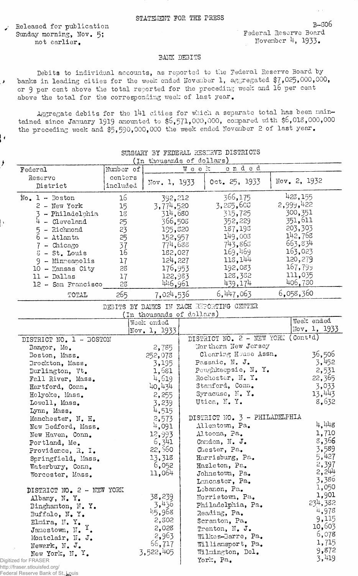Released for publication Sunday morning, Nov. 5; not earlier.

۸,

 $\mathbf{I}$ 

B-S06 Federal Reserve Board November  $4, 1933.$ 

## BAiTK DEBITS

Debits to individual accounts, as reported to the Federal Reserve Board by banks in leading cities for the week ended November 1, aggregated \$7,025,000,000, or 9 per cent above the total reported for the preceding week and 16 per cent above the total for the corresponding week of last year.

Aggregate debits for the l4l cities for which a separate total has been maintained since January 1919 amounted to \$6,571,000,000, compared with \$6,013,000,000 the preceding week and \$5,590,000,000 the week ended November 2 of last year.

|         |                                                                                                                                                                   |                                                                                                                                                         | SUMMARY BY FEDERAL RESERVE DISTRICTS                                                                                                                            |                                                                                                                                                                                                                                                                                                                                                                                                                                                                                                                                                                                             |                                                                                                                                                      |
|---------|-------------------------------------------------------------------------------------------------------------------------------------------------------------------|---------------------------------------------------------------------------------------------------------------------------------------------------------|-----------------------------------------------------------------------------------------------------------------------------------------------------------------|---------------------------------------------------------------------------------------------------------------------------------------------------------------------------------------------------------------------------------------------------------------------------------------------------------------------------------------------------------------------------------------------------------------------------------------------------------------------------------------------------------------------------------------------------------------------------------------------|------------------------------------------------------------------------------------------------------------------------------------------------------|
|         |                                                                                                                                                                   |                                                                                                                                                         | ended                                                                                                                                                           |                                                                                                                                                                                                                                                                                                                                                                                                                                                                                                                                                                                             |                                                                                                                                                      |
| centers |                                                                                                                                                                   |                                                                                                                                                         | 0ct. 25. 1933                                                                                                                                                   |                                                                                                                                                                                                                                                                                                                                                                                                                                                                                                                                                                                             | Nov. 2, 1932                                                                                                                                         |
|         |                                                                                                                                                                   |                                                                                                                                                         |                                                                                                                                                                 |                                                                                                                                                                                                                                                                                                                                                                                                                                                                                                                                                                                             |                                                                                                                                                      |
|         |                                                                                                                                                                   |                                                                                                                                                         |                                                                                                                                                                 |                                                                                                                                                                                                                                                                                                                                                                                                                                                                                                                                                                                             | 423, 155                                                                                                                                             |
|         |                                                                                                                                                                   |                                                                                                                                                         |                                                                                                                                                                 |                                                                                                                                                                                                                                                                                                                                                                                                                                                                                                                                                                                             | 2,999,422                                                                                                                                            |
|         |                                                                                                                                                                   |                                                                                                                                                         |                                                                                                                                                                 |                                                                                                                                                                                                                                                                                                                                                                                                                                                                                                                                                                                             | 300,351                                                                                                                                              |
|         |                                                                                                                                                                   |                                                                                                                                                         |                                                                                                                                                                 |                                                                                                                                                                                                                                                                                                                                                                                                                                                                                                                                                                                             | 351,611                                                                                                                                              |
|         |                                                                                                                                                                   |                                                                                                                                                         |                                                                                                                                                                 |                                                                                                                                                                                                                                                                                                                                                                                                                                                                                                                                                                                             | 203,303<br>142,768                                                                                                                                   |
|         |                                                                                                                                                                   |                                                                                                                                                         |                                                                                                                                                                 |                                                                                                                                                                                                                                                                                                                                                                                                                                                                                                                                                                                             | 663,834                                                                                                                                              |
|         |                                                                                                                                                                   |                                                                                                                                                         |                                                                                                                                                                 |                                                                                                                                                                                                                                                                                                                                                                                                                                                                                                                                                                                             | 163,023                                                                                                                                              |
|         |                                                                                                                                                                   |                                                                                                                                                         |                                                                                                                                                                 |                                                                                                                                                                                                                                                                                                                                                                                                                                                                                                                                                                                             | 120,279                                                                                                                                              |
|         |                                                                                                                                                                   |                                                                                                                                                         |                                                                                                                                                                 |                                                                                                                                                                                                                                                                                                                                                                                                                                                                                                                                                                                             | 167,799                                                                                                                                              |
|         |                                                                                                                                                                   |                                                                                                                                                         |                                                                                                                                                                 |                                                                                                                                                                                                                                                                                                                                                                                                                                                                                                                                                                                             | 111,035                                                                                                                                              |
|         |                                                                                                                                                                   |                                                                                                                                                         |                                                                                                                                                                 |                                                                                                                                                                                                                                                                                                                                                                                                                                                                                                                                                                                             | 406,780                                                                                                                                              |
|         |                                                                                                                                                                   |                                                                                                                                                         |                                                                                                                                                                 |                                                                                                                                                                                                                                                                                                                                                                                                                                                                                                                                                                                             |                                                                                                                                                      |
|         |                                                                                                                                                                   |                                                                                                                                                         |                                                                                                                                                                 |                                                                                                                                                                                                                                                                                                                                                                                                                                                                                                                                                                                             | 6,058,360                                                                                                                                            |
|         |                                                                                                                                                                   |                                                                                                                                                         |                                                                                                                                                                 |                                                                                                                                                                                                                                                                                                                                                                                                                                                                                                                                                                                             |                                                                                                                                                      |
|         |                                                                                                                                                                   |                                                                                                                                                         |                                                                                                                                                                 |                                                                                                                                                                                                                                                                                                                                                                                                                                                                                                                                                                                             | Week ended                                                                                                                                           |
|         |                                                                                                                                                                   |                                                                                                                                                         |                                                                                                                                                                 |                                                                                                                                                                                                                                                                                                                                                                                                                                                                                                                                                                                             | Nov. 1, 1933                                                                                                                                         |
|         |                                                                                                                                                                   |                                                                                                                                                         |                                                                                                                                                                 |                                                                                                                                                                                                                                                                                                                                                                                                                                                                                                                                                                                             |                                                                                                                                                      |
|         |                                                                                                                                                                   |                                                                                                                                                         |                                                                                                                                                                 |                                                                                                                                                                                                                                                                                                                                                                                                                                                                                                                                                                                             |                                                                                                                                                      |
|         |                                                                                                                                                                   |                                                                                                                                                         |                                                                                                                                                                 |                                                                                                                                                                                                                                                                                                                                                                                                                                                                                                                                                                                             | 36,506                                                                                                                                               |
|         | 3,195                                                                                                                                                             |                                                                                                                                                         |                                                                                                                                                                 |                                                                                                                                                                                                                                                                                                                                                                                                                                                                                                                                                                                             | 3,452                                                                                                                                                |
|         | 1,681                                                                                                                                                             |                                                                                                                                                         |                                                                                                                                                                 |                                                                                                                                                                                                                                                                                                                                                                                                                                                                                                                                                                                             | 2,531                                                                                                                                                |
|         | 4,619                                                                                                                                                             |                                                                                                                                                         |                                                                                                                                                                 |                                                                                                                                                                                                                                                                                                                                                                                                                                                                                                                                                                                             | 22,365                                                                                                                                               |
|         | 40,434                                                                                                                                                            |                                                                                                                                                         |                                                                                                                                                                 |                                                                                                                                                                                                                                                                                                                                                                                                                                                                                                                                                                                             | 3,033                                                                                                                                                |
|         | 2,255                                                                                                                                                             |                                                                                                                                                         |                                                                                                                                                                 |                                                                                                                                                                                                                                                                                                                                                                                                                                                                                                                                                                                             | 13,443                                                                                                                                               |
|         | 3,239                                                                                                                                                             |                                                                                                                                                         |                                                                                                                                                                 |                                                                                                                                                                                                                                                                                                                                                                                                                                                                                                                                                                                             | 8,632                                                                                                                                                |
|         | 4,515                                                                                                                                                             |                                                                                                                                                         |                                                                                                                                                                 |                                                                                                                                                                                                                                                                                                                                                                                                                                                                                                                                                                                             |                                                                                                                                                      |
|         | 2,573                                                                                                                                                             |                                                                                                                                                         |                                                                                                                                                                 |                                                                                                                                                                                                                                                                                                                                                                                                                                                                                                                                                                                             |                                                                                                                                                      |
|         |                                                                                                                                                                   |                                                                                                                                                         |                                                                                                                                                                 |                                                                                                                                                                                                                                                                                                                                                                                                                                                                                                                                                                                             | 4,448                                                                                                                                                |
|         |                                                                                                                                                                   |                                                                                                                                                         |                                                                                                                                                                 |                                                                                                                                                                                                                                                                                                                                                                                                                                                                                                                                                                                             | 1,710                                                                                                                                                |
|         |                                                                                                                                                                   |                                                                                                                                                         |                                                                                                                                                                 |                                                                                                                                                                                                                                                                                                                                                                                                                                                                                                                                                                                             | 8,366                                                                                                                                                |
|         |                                                                                                                                                                   |                                                                                                                                                         |                                                                                                                                                                 |                                                                                                                                                                                                                                                                                                                                                                                                                                                                                                                                                                                             | 3,589                                                                                                                                                |
|         |                                                                                                                                                                   |                                                                                                                                                         |                                                                                                                                                                 |                                                                                                                                                                                                                                                                                                                                                                                                                                                                                                                                                                                             | 5,427                                                                                                                                                |
|         |                                                                                                                                                                   |                                                                                                                                                         |                                                                                                                                                                 |                                                                                                                                                                                                                                                                                                                                                                                                                                                                                                                                                                                             | 2,397<br>2,244                                                                                                                                       |
|         |                                                                                                                                                                   |                                                                                                                                                         |                                                                                                                                                                 |                                                                                                                                                                                                                                                                                                                                                                                                                                                                                                                                                                                             | 3,386                                                                                                                                                |
|         |                                                                                                                                                                   |                                                                                                                                                         |                                                                                                                                                                 |                                                                                                                                                                                                                                                                                                                                                                                                                                                                                                                                                                                             | 1,050                                                                                                                                                |
|         |                                                                                                                                                                   |                                                                                                                                                         |                                                                                                                                                                 |                                                                                                                                                                                                                                                                                                                                                                                                                                                                                                                                                                                             | 1,901                                                                                                                                                |
|         |                                                                                                                                                                   |                                                                                                                                                         |                                                                                                                                                                 |                                                                                                                                                                                                                                                                                                                                                                                                                                                                                                                                                                                             | 234,382                                                                                                                                              |
|         |                                                                                                                                                                   |                                                                                                                                                         |                                                                                                                                                                 |                                                                                                                                                                                                                                                                                                                                                                                                                                                                                                                                                                                             | 4,978                                                                                                                                                |
|         |                                                                                                                                                                   |                                                                                                                                                         |                                                                                                                                                                 |                                                                                                                                                                                                                                                                                                                                                                                                                                                                                                                                                                                             | 9,115                                                                                                                                                |
|         | 2,028                                                                                                                                                             |                                                                                                                                                         |                                                                                                                                                                 |                                                                                                                                                                                                                                                                                                                                                                                                                                                                                                                                                                                             | 10,603                                                                                                                                               |
|         | 2,963                                                                                                                                                             |                                                                                                                                                         | Trenton, N. J.<br>Wilkes-Barre, Pa.                                                                                                                             |                                                                                                                                                                                                                                                                                                                                                                                                                                                                                                                                                                                             | 6,078                                                                                                                                                |
|         |                                                                                                                                                                   |                                                                                                                                                         |                                                                                                                                                                 |                                                                                                                                                                                                                                                                                                                                                                                                                                                                                                                                                                                             |                                                                                                                                                      |
|         |                                                                                                                                                                   |                                                                                                                                                         |                                                                                                                                                                 |                                                                                                                                                                                                                                                                                                                                                                                                                                                                                                                                                                                             |                                                                                                                                                      |
|         | 66,717<br>3,522,405                                                                                                                                               |                                                                                                                                                         | Williamsport, Pa.<br>Wilmington, Del.                                                                                                                           |                                                                                                                                                                                                                                                                                                                                                                                                                                                                                                                                                                                             | 1,715<br>9,872                                                                                                                                       |
|         | Number of<br>included<br>16<br>15<br>18<br>25<br>23<br>25<br>37<br>16<br>$17 \,$<br>28<br>17<br>23<br>265<br>DISTRICT NO. 1 - BOSTON<br>DISTRICT NO. 2 - NEW YORK | Week ended<br>Nov. 1, 1933<br>2,785<br>252,078<br>4,091<br>12,993<br>6,341<br>22,560<br>13,318<br>6,052<br>11,064<br>38,239<br>3,436<br>45,968<br>2,302 | Nov. 1, 1933<br>392,212<br>3,774,520<br>314,680<br>366,508<br>195,820<br>152,957<br>774,688<br>182,027<br>124,227<br>176,953<br>122,983<br>446,961<br>7,024,536 | (In thousands of dollars)<br>Week<br>366,175<br>3,285,600<br>315,725<br>352,229<br>187,193<br>149,003<br>743,865<br>169,469<br>113,144<br>192,083<br>128,332<br>439,174<br>6,447,063<br>DEBITS BY BAKKS IN EACH REPORTING CENTER<br>(In thousands of dollars)<br>Passaic, N. J.<br>Rochester, N. Y.<br>Stanford, Conn.<br>Syracuse, N.Y.<br>Utica, N.Y.<br>Allentown, Pa.<br>Altoona, Pa.<br>Camdon, N. J.<br>Chester, Pa.<br>Harrisburg, Pa.<br>Hazleton, Pa.<br>Johnstown, Pa.<br>Lancaster, Pa.<br>Lebanon, Pa.<br>Morristown, Pa.<br>Philadelphia, Pa.<br>Reading, Pa.<br>Scranton, Pa. | DISTRICT NO. 2 - NEW YORK (Cont'd)<br>Northern New Jersey<br>Clearing House Assn.<br>Poughkeepsie, $N_{\bullet}$ Y.<br>DISTRICT NO. 3 - PHILADELPHIA |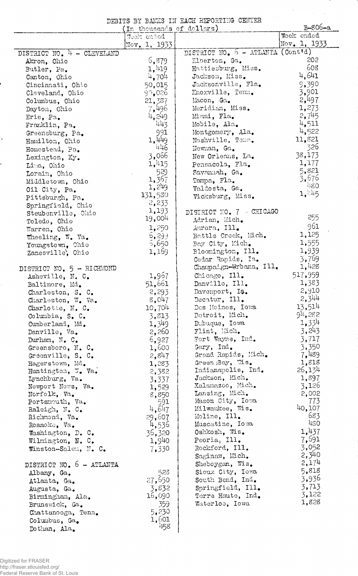|                                     | (In thousands of dollars)            | DEBITS BY BANKS IN EACH REPORTING CENTER | B-806-a                    |  |  |  |  |
|-------------------------------------|--------------------------------------|------------------------------------------|----------------------------|--|--|--|--|
|                                     | Week ended<br>$\text{Nov. } 1, 1933$ |                                          | Week ended<br>Nov. 1, 1933 |  |  |  |  |
| DISTRICT NO. $4 - CLEVELAND$        |                                      | DISTRICT NO. 5 - ATLANTA (Cont'd)        |                            |  |  |  |  |
| Akron, Ohio                         | 5,879                                | Elberton, Ga.                            | 202                        |  |  |  |  |
| Butler, Pa.                         | 1,419                                | Hattiesburg, Miss.                       | 608                        |  |  |  |  |
| Canton, Ohio                        | 4,704                                | Jackson, Miss.                           | 4,641                      |  |  |  |  |
| Cincinnati, Ohio                    | 50,015                               | Jacksonville, Fla.                       | 9,390                      |  |  |  |  |
| Cleveland, Ohio                     | 90,026                               | Knoxville, Tenn.                         | 3,901                      |  |  |  |  |
| Columbus, Ohio                      | 21, 337                              | Macon, Ga.                               | 2,497                      |  |  |  |  |
| Dayton, Ohio                        | 7,496                                | Meridian, Miss.                          | 1,273                      |  |  |  |  |
| Erie, Pa.                           | 4,249                                | Miami, Fla.                              | 2,745                      |  |  |  |  |
| Franklin, Pa.                       | 443                                  | Mobile, Ala.                             | 4,511                      |  |  |  |  |
| Greensburg, Pa.                     | 991                                  | Montgomery, Ala.                         | 4,522                      |  |  |  |  |
| Hamilton, Ohio                      | 1,449                                | Mashville, Tenn.                         | 11,821                     |  |  |  |  |
| Homestead, Pa.                      | 446                                  | Newnan, Ga.                              | -326                       |  |  |  |  |
| Lexington, Ky.                      | 3,066                                | New Orleans, La.                         | 38,173                     |  |  |  |  |
| Lima, Ohio                          | 1,415                                | Pensacola, Fla.                          | 1,177                      |  |  |  |  |
| Lorain, Ohio                        | 529                                  | Savamah, Ga.                             | 5,821                      |  |  |  |  |
| Middletown, Ohio                    | 1,367                                | Tampa, Fla.                              | 3,676                      |  |  |  |  |
| Oil City, Pa.                       | 1,249                                | Valdosta, Ga.                            | 480                        |  |  |  |  |
| Pittsburgh, Pa.                     | 131,580                              | Vicksburg, Miss.                         | 1,445                      |  |  |  |  |
| Springfield, Chio                   | 2,233                                |                                          |                            |  |  |  |  |
| Steubenville, Ohio                  | 1,193                                | DISTRICT NO. 7 - CHICAGO                 |                            |  |  |  |  |
| Toledo, Ohio                        | 19,004                               | Adrian, Mich.                            | 255                        |  |  |  |  |
| Warren, Ohio                        | 1,250                                | Aurora, Ill.                             | 961                        |  |  |  |  |
| Wheeling, W. Va.                    | 6, 299                               | Battle Creek, Mich.                      | 1,125                      |  |  |  |  |
| Youngstown, Chio                    | 5,650                                | Bay City, Mich.                          | 1,555                      |  |  |  |  |
| Zanesville, Ohio                    | 1,169                                | Bloomington, Ill.                        | 1,939                      |  |  |  |  |
|                                     |                                      | Cedar Rapids, Ia.                        | 3,769                      |  |  |  |  |
| DISTRICT NO. 5 - RICHMOND           |                                      | Champaign-Urbana, Ill.                   | 1,428                      |  |  |  |  |
| Asheville, N. C.                    | 1,967                                | Chicago, Ill.                            | 517,959                    |  |  |  |  |
| Baltimore, Md.                      | 51,661                               | Danville, Ill.                           | 1,383                      |  |  |  |  |
| Charleston, S. C.                   | 2,293                                | Davenport, Ia.                           | 2,910                      |  |  |  |  |
| Charleston, W. Va.                  | 8,047                                | Decatur, Ill.                            | 2,344                      |  |  |  |  |
| Charlotte, N. C.                    | 10,704                               | Des Moines, Iowa                         | 13,514                     |  |  |  |  |
| Columbia, S. C.                     | 3,813                                | Detroit, Mich.                           | 94,282                     |  |  |  |  |
| Cumberland, Md.                     | 1,349                                | Dubuque, Iowa                            | 1,334                      |  |  |  |  |
| Danville, Va.                       | 2,260                                | Flint, Mich.                             | 3,243                      |  |  |  |  |
| Durham, $N_{\bullet}$ $C_{\bullet}$ | 6,927                                | Fort Wayne, Ind.                         | 3,717                      |  |  |  |  |
| Greensboro, N. C.                   | 1,600                                | Gary, Ind.                               | 3,350                      |  |  |  |  |
| Greenville, S. C.                   | 2,847                                | Grand Rapids, Mich.                      | 7,489                      |  |  |  |  |
| Hagerstown, Md.                     | 1,283                                | Green Bay, Wis.                          | 1,818                      |  |  |  |  |
| Huntington, W. Va.                  | 2,382                                | Indianapolis, Ind.                       | 26,134                     |  |  |  |  |
| Lynchburg, Va.                      | 3,337                                | Jackson, Mich.                           | 1,897                      |  |  |  |  |
| Newport News, Va.                   | 1,529                                | Xalamazoo, Mich.                         | 3,126                      |  |  |  |  |
| Norfolk, Va.                        | 8,850                                | Lansing, Mich.                           | 2,002                      |  |  |  |  |
| Portsmouth, Va.                     | 591                                  | Mason City, Iowa                         | 773                        |  |  |  |  |
| Raleigh, N. C.                      | 4,647                                | Milwaukee, Wis.                          | 40,107                     |  |  |  |  |
| Richmond, Va.                       | 29,607                               | Moline, Ill.                             | 683                        |  |  |  |  |
| Roanoke, Va.                        | 4,536                                | Muscatine, Iowa                          | 480                        |  |  |  |  |
| Washington, D. C.                   | 36,320                               | Oshkosh, Wis.                            | 1,437                      |  |  |  |  |
| Wilmington, N. C.                   | 1,940                                | Peoria, Ill.                             | 7,691                      |  |  |  |  |
| Winston-Salen, N. C.                | 7,330                                | Rockford, Ill.                           | 3,052                      |  |  |  |  |
|                                     |                                      | Saginaw, Mich.                           | 2,340                      |  |  |  |  |
| DISTRICT NO. 6 - ATLANTA            |                                      | Sheboygan, Wis.                          | 2,174                      |  |  |  |  |
| Albany, Ga.                         | 523                                  | Sioux City, Iowa                         | 5,818                      |  |  |  |  |
| Atlanta, Ga.                        | 27,650                               | South Bend, Ind.                         | 3,936                      |  |  |  |  |
| Augusta, Ga.                        | 3,832                                | Springfield, Ill.                        | 3,713                      |  |  |  |  |
| Birmingham, Ala.                    | 16,090                               | Terre Haute, Ind.                        | 3,122                      |  |  |  |  |
| Brunswick, Ga.                      | 359                                  | Waterloo, Iowa                           | 1,828                      |  |  |  |  |
| Chattanooga, Tenn.                  | 5,230                                |                                          |                            |  |  |  |  |
| Columbus, Ga.                       | 1,601                                |                                          |                            |  |  |  |  |
| Dothan, Ala.                        | 458                                  |                                          |                            |  |  |  |  |

 $\frac{1}{2}$ 

 $\ddot{\phantom{0}}$